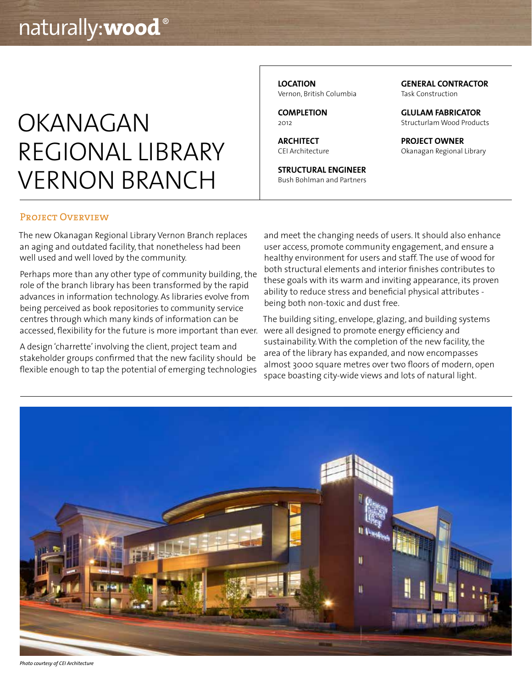# OKANAGAN REGIONAL LIBRARY VERNON BRANCH

**LOCATION** Vernon, British Columbia

**COMPLETION**  $2012$ 

**ARCHITECT** CEI Architecture

**STRUCTURAL ENGINEER** Bush Bohlman and Partners **GENERAL CONTRACTOR** Task Construction

**GLULAM FABRICATOR** Structurlam Wood Products

**PROJECT OWNER** Okanagan Regional Library

### PROJECT OVERVIEW

The new Okanagan Regional Library Vernon Branch replaces an aging and outdated facility, that nonetheless had been well used and well loved by the community.

Perhaps more than any other type of community building, the role of the branch library has been transformed by the rapid advances in information technology. As libraries evolve from being perceived as book repositories to community service centres through which many kinds of information can be accessed, flexibility for the future is more important than ever.

A design 'charrette' involving the client, project team and stakeholder groups confirmed that the new facility should be flexible enough to tap the potential of emerging technologies and meet the changing needs of users. It should also enhance user access, promote community engagement, and ensure a healthy environment for users and staff. The use of wood for both structural elements and interior finishes contributes to these goals with its warm and inviting appearance, its proven ability to reduce stress and beneficial physical attributes being both non-toxic and dust free.

The building siting, envelope, glazing, and building systems were all designed to promote energy efficiency and sustainability. With the completion of the new facility, the area of the library has expanded, and now encompasses almost 3000 square metres over two floors of modern, open space boasting city-wide views and lots of natural light.



*Photo courtesy of CEI Architecture*